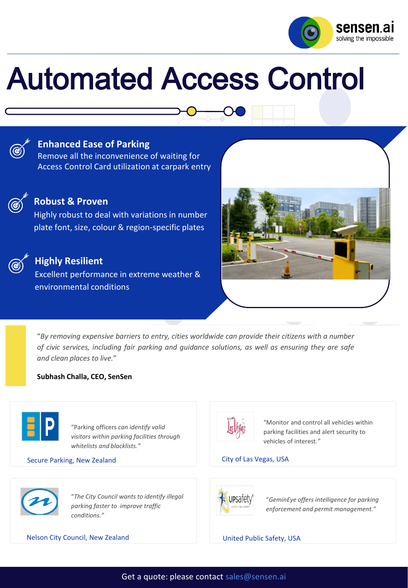

# Automated Access Control



### **Enhanced Ease of Parking**

Remove all the inconvenience of waiting for Access Control Card utilization at carpark entry



### **Robust & Proven**

Highly robust to deal with variations in number plate font, size, colour & region-specific plates



### **Highly Resilient**

Excellent performance in extreme weather & environmental conditions



"*By removing expensive barriers to entry, cities worldwide can provide their citizens with a number of civic services, including fair parking and guidance solutions, as well as ensuring they are safe and clean places to live.*"

### **Subhash Challa, CEO, SenSen**



"Parking officers *can identify valid visitors within parking facilities through whitelists and blacklists."*

### Secure Parking, New Zealand **City of Las Vegas, USA**



"*The City Council wants to identify illegal parking faster to improve traffic conditions."*

Nelson City Council, New Zealand United Public Safety, USA



"Monitor and control all vehicles within parking facilities and alert security to vehicles of interest*."*



"*GeminEye offers intelligence for parking enforcement and permit management."*